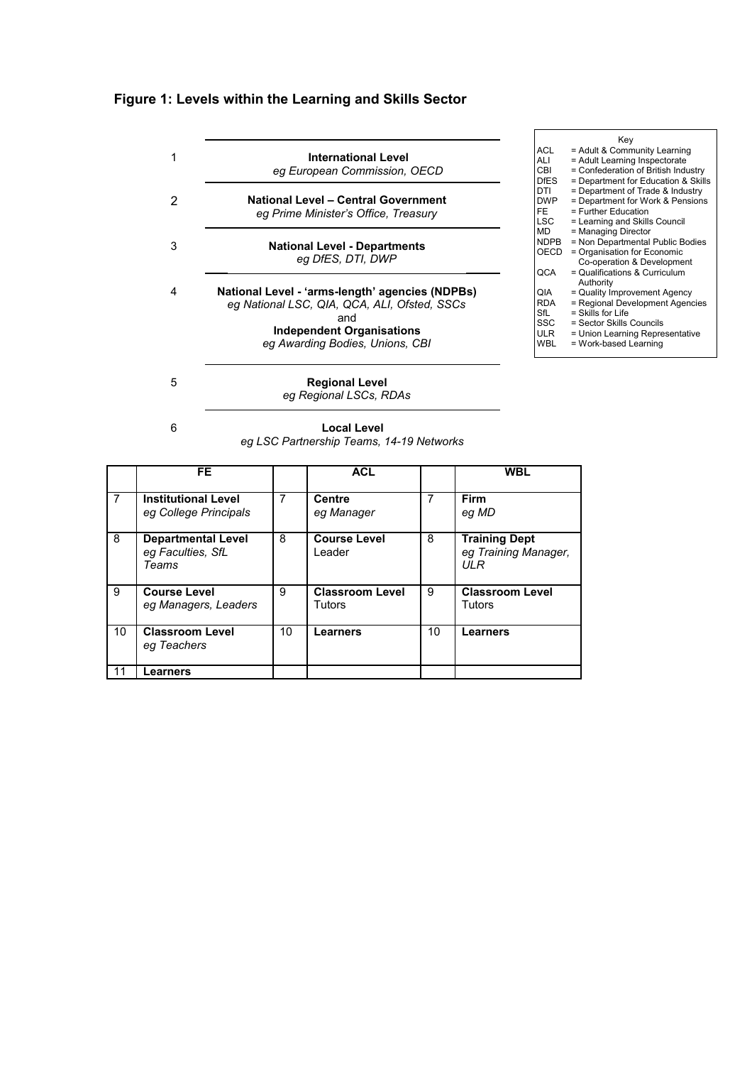## **Figure 1: Levels within the Learning and Skills Sector**

| 1      | <b>International Level</b><br>eg European Commission, OECD                                                                                                                    |                                                             | ACL.<br>ALI<br>CBI<br><b>DfES</b>       | Key<br>= Adult & Community Learning<br>= Adult Learning Inspectorate<br>= Confederation of British Industry                                                                                 |
|--------|-------------------------------------------------------------------------------------------------------------------------------------------------------------------------------|-------------------------------------------------------------|-----------------------------------------|---------------------------------------------------------------------------------------------------------------------------------------------------------------------------------------------|
| 2      | <b>National Level - Central Government</b><br>eg Prime Minister's Office, Treasury                                                                                            |                                                             | DTI<br><b>DWP</b><br>FE.<br><b>LSC</b>  | = Department for Education & Skills<br>= Department of Trade & Industry<br>= Department for Work & Pensions<br>= Further Education<br>= Learning and Skills Council                         |
| 3<br>4 | <b>National Level - Departments</b><br>eg DfES, DTI, DWP                                                                                                                      |                                                             | <b>MD</b><br><b>NDPB</b><br>OECD<br>QCA | = Managing Director<br>= Non Departmental Public Bodies<br>= Organisation for Economic<br>Co-operation & Development<br>= Qualifications & Curriculum                                       |
|        | National Level - 'arms-length' agencies (NDPBs)<br>eg National LSC, QIA, QCA, ALI, Ofsted, SSCs<br>and<br><b>Independent Organisations</b><br>eg Awarding Bodies, Unions, CBI | QIA<br><b>RDA</b><br>SfL<br>SSC<br><b>ULR</b><br><b>WBL</b> |                                         | Authority<br>= Quality Improvement Agency<br>= Regional Development Agencies<br>$=$ Skills for Life<br>= Sector Skills Councils<br>= Union Learning Representative<br>= Work-based Learning |
| 5      | <b>Regional Level</b><br>eg Regional LSCs, RDAs                                                                                                                               |                                                             |                                         |                                                                                                                                                                                             |

**Local Level** *eg LSC Partnership Teams, 14-19 Networks*

6

|    | FE                                                      |    | <b>ACL</b>                       |    | <b>WBL</b>                                          |
|----|---------------------------------------------------------|----|----------------------------------|----|-----------------------------------------------------|
| 7  | <b>Institutional Level</b><br>eg College Principals     | 7  | <b>Centre</b><br>eg Manager      |    | <b>Firm</b><br>eg MD                                |
| 8  | <b>Departmental Level</b><br>eg Faculties, SfL<br>Teams | 8  | <b>Course Level</b><br>Leader    | 8  | <b>Training Dept</b><br>eg Training Manager,<br>ULR |
| 9  | <b>Course Level</b><br>eg Managers, Leaders             | 9  | <b>Classroom Level</b><br>Tutors | 9  | <b>Classroom Level</b><br>Tutors                    |
| 10 | <b>Classroom Level</b><br>eg Teachers                   | 10 | Learners                         | 10 | Learners                                            |
| 11 | Learners                                                |    |                                  |    |                                                     |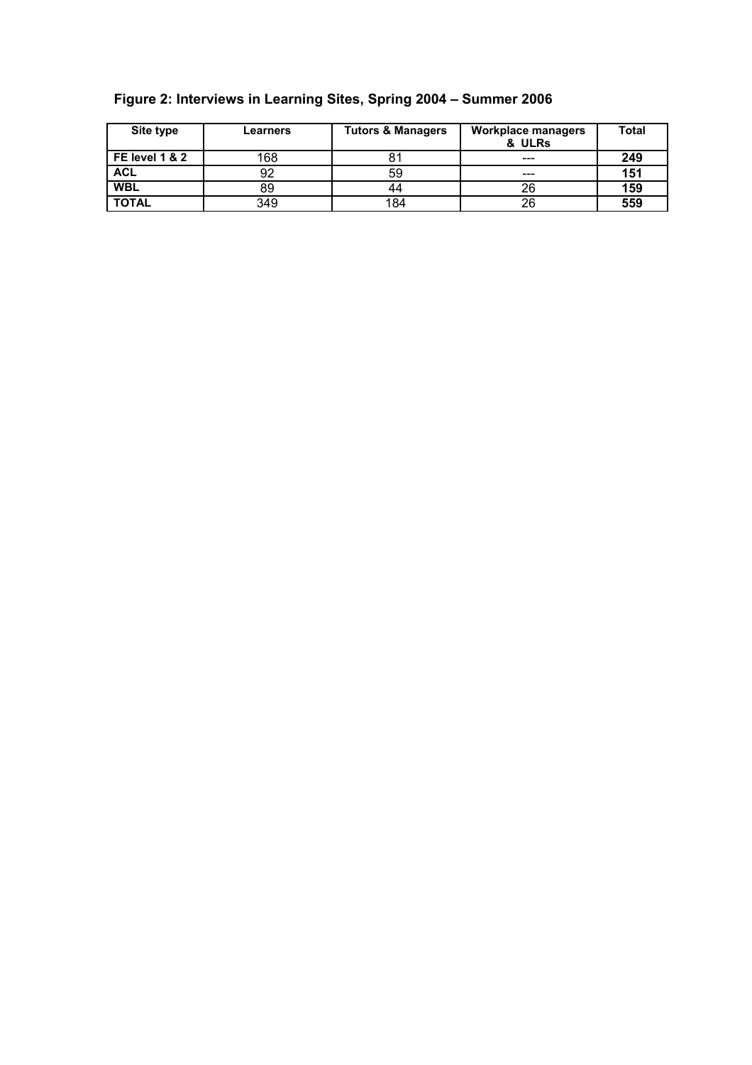| Site type        | Learners | <b>Tutors &amp; Managers</b> | <b>Workplace managers</b><br>& ULRs | <b>Total</b> |
|------------------|----------|------------------------------|-------------------------------------|--------------|
| l FE level 1 & 2 | 168      |                              | $- - -$                             | 249          |
| <b>ACL</b>       | 92       | 59                           | $- - -$                             | 151          |
| <b>WBL</b>       | 89       | 44                           | 26                                  | 159          |
| <b>TOTAL</b>     | 349      | 184                          | 26                                  | 559          |

## **Figure 2: Interviews in Learning Sites, Spring 2004 – Summer 2006**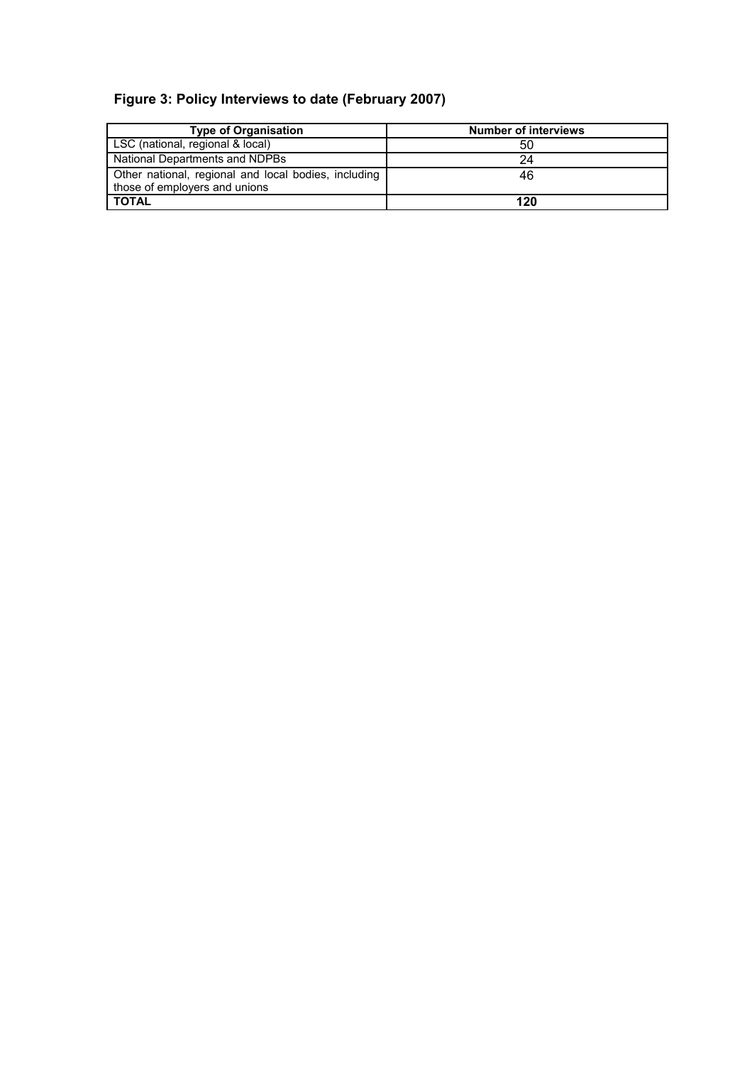## **Figure 3: Policy Interviews to date (February 2007)**

| <b>Type of Organisation</b>                                                           | <b>Number of interviews</b> |
|---------------------------------------------------------------------------------------|-----------------------------|
| LSC (national, regional & local)                                                      | 50                          |
| National Departments and NDPBs                                                        | 24                          |
| Other national, regional and local bodies, including<br>those of employers and unions | 46                          |
| <b>TOTAL</b>                                                                          | 120                         |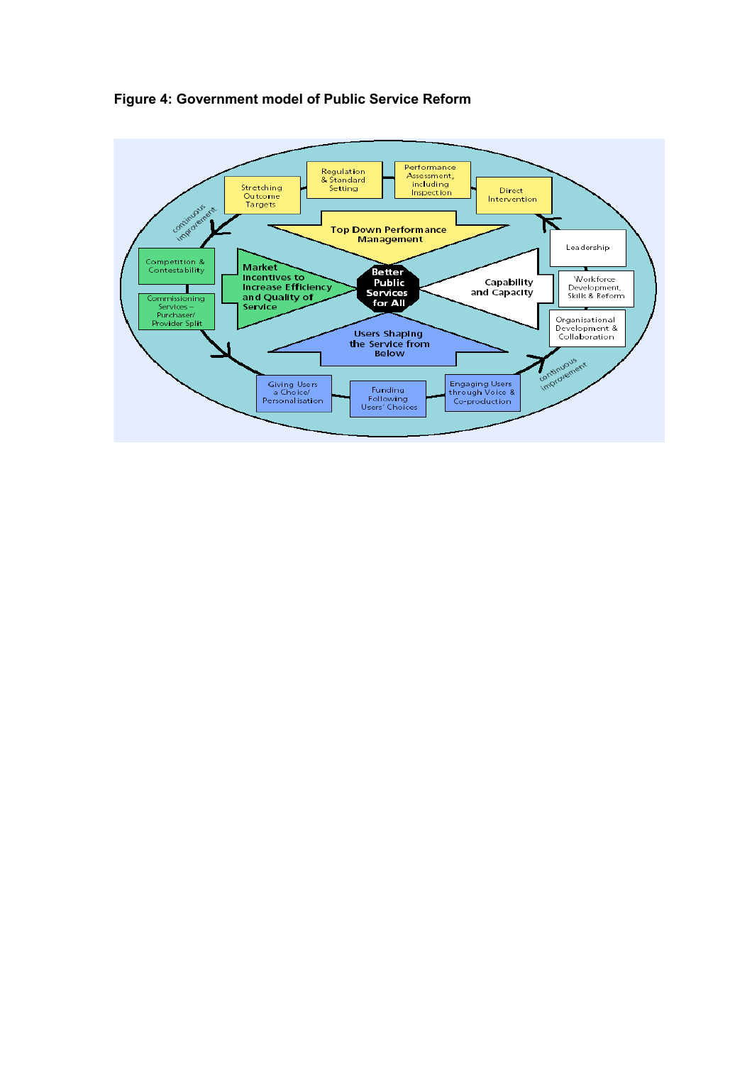